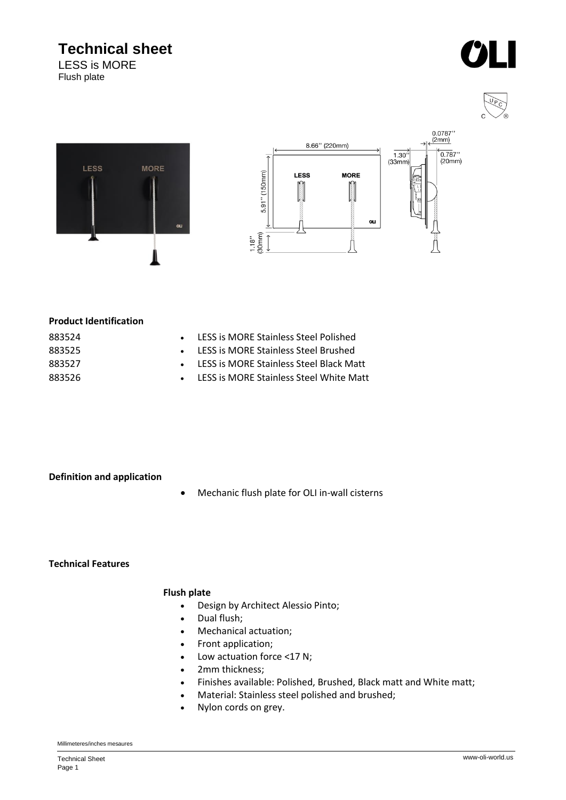## **Technical sheet**

LESS is MORE Flush plate









#### **Product Identification**

| 883524 |  |
|--------|--|
| 883525 |  |
| 883527 |  |
| 883526 |  |

- LESS is MORE Stainless Steel Polished
- LESS is MORE Stainless Steel Brushed
- LESS is MORE Stainless Steel Black Matt
- LESS is MORE Stainless Steel White Matt

#### **Definition and application**

• Mechanic flush plate for OLI in-wall cisterns

**Technical Features**

#### **Flush plate**

- Design by Architect Alessio Pinto;
- Dual flush;
- Mechanical actuation;
- Front application;
- Low actuation force <17 N;
- 2mm thickness;
- Finishes available: Polished, Brushed, Black matt and White matt;
- Material: Stainless steel polished and brushed;
- Nylon cords on grey.

#### Millimeteres/inches mesaures